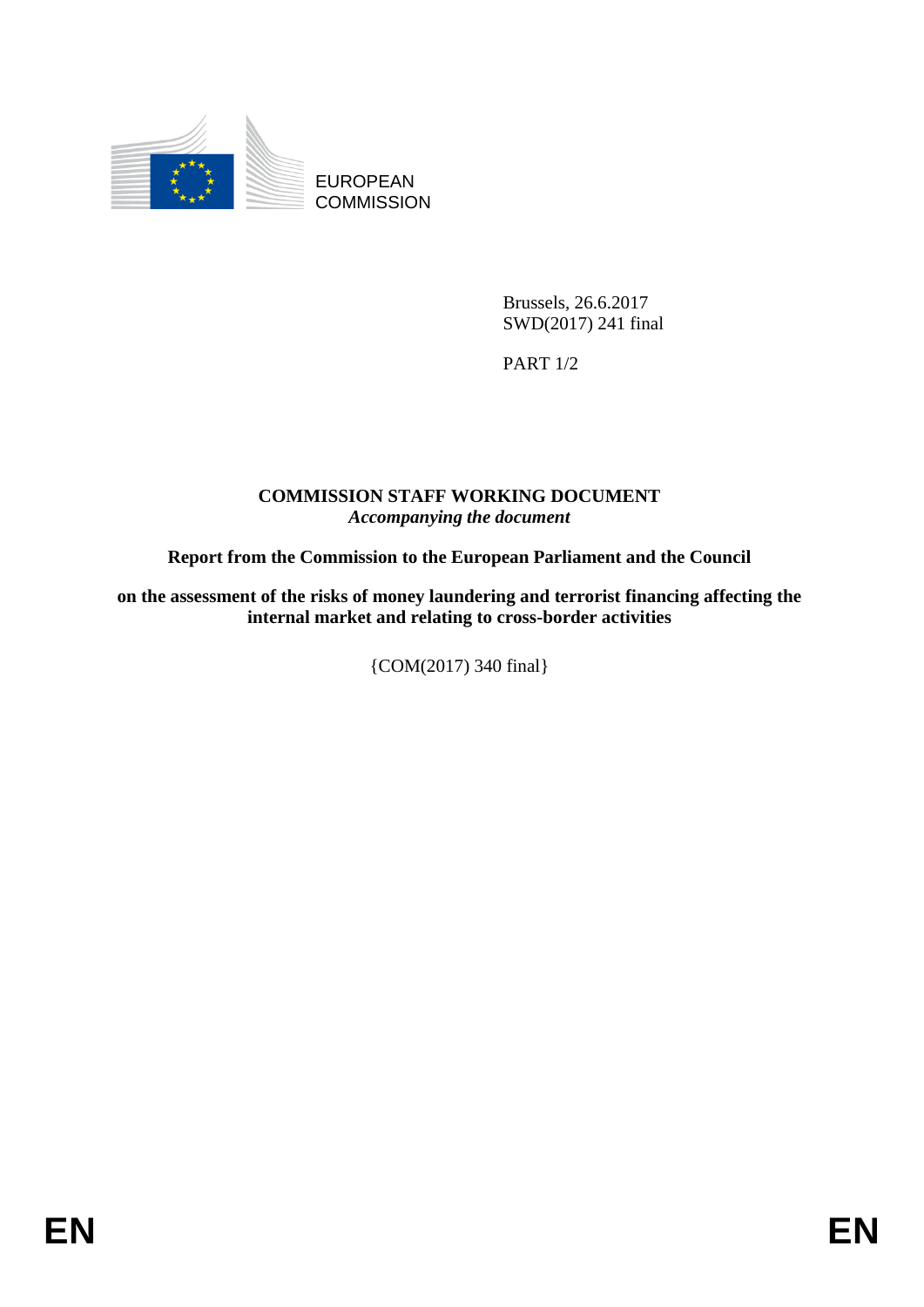

EUROPEAN **COMMISSION** 

> Brussels, 26.6.2017 SWD(2017) 241 final

PART 1/2

### **COMMISSION STAFF WORKING DOCUMENT** *Accompanying the document*

# **Report from the Commission to the European Parliament and the Council**

**on the assessment of the risks of money laundering and terrorist financing affecting the internal market and relating to cross-border activities**

{COM(2017) 340 final}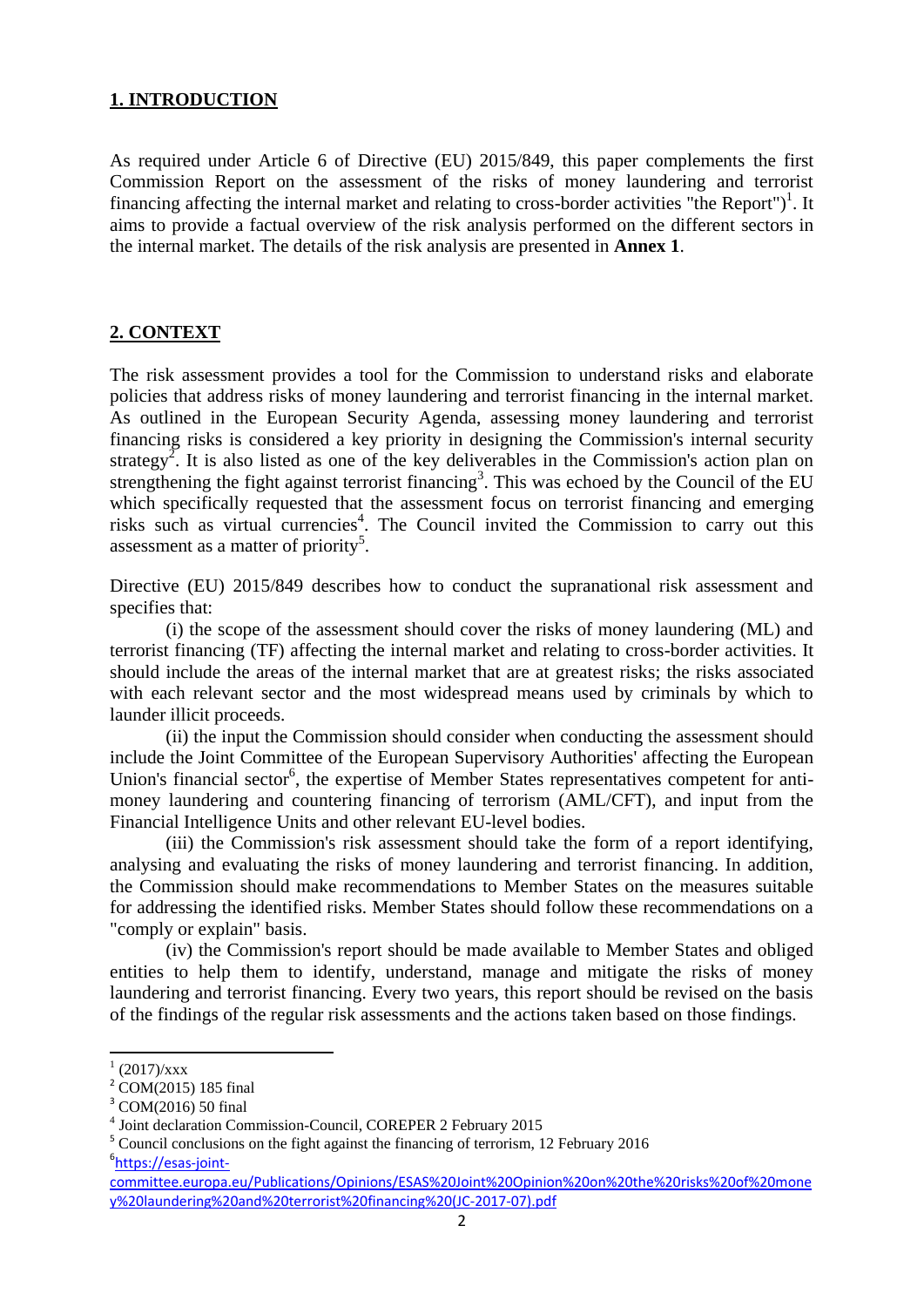#### **1. INTRODUCTION**

As required under Article 6 of Directive (EU) 2015/849, this paper complements the first Commission Report on the assessment of the risks of money laundering and terrorist financing affecting the internal market and relating to cross-border activities "the Report")<sup>1</sup>. It aims to provide a factual overview of the risk analysis performed on the different sectors in the internal market. The details of the risk analysis are presented in **Annex 1**.

#### **2. CONTEXT**

The risk assessment provides a tool for the Commission to understand risks and elaborate policies that address risks of money laundering and terrorist financing in the internal market. As outlined in the European Security Agenda, assessing money laundering and terrorist financing risks is considered a key priority in designing the Commission's internal security strategy<sup>2</sup>. It is also listed as one of the key deliverables in the Commission's action plan on strengthening the fight against terrorist financing<sup>3</sup>. This was echoed by the Council of the EU which specifically requested that the assessment focus on terrorist financing and emerging risks such as virtual currencies<sup>4</sup>. The Council invited the Commission to carry out this assessment as a matter of priority<sup>5</sup>.

Directive (EU) 2015/849 describes how to conduct the supranational risk assessment and specifies that:

(i) the scope of the assessment should cover the risks of money laundering (ML) and terrorist financing (TF) affecting the internal market and relating to cross-border activities. It should include the areas of the internal market that are at greatest risks; the risks associated with each relevant sector and the most widespread means used by criminals by which to launder illicit proceeds.

(ii) the input the Commission should consider when conducting the assessment should include the Joint Committee of the European Supervisory Authorities' affecting the European Union's financial sector<sup>6</sup>, the expertise of Member States representatives competent for antimoney laundering and countering financing of terrorism (AML/CFT), and input from the Financial Intelligence Units and other relevant EU-level bodies.

(iii) the Commission's risk assessment should take the form of a report identifying, analysing and evaluating the risks of money laundering and terrorist financing. In addition, the Commission should make recommendations to Member States on the measures suitable for addressing the identified risks. Member States should follow these recommendations on a "comply or explain" basis.

(iv) the Commission's report should be made available to Member States and obliged entities to help them to identify, understand, manage and mitigate the risks of money laundering and terrorist financing. Every two years, this report should be revised on the basis of the findings of the regular risk assessments and the actions taken based on those findings.

**.** 

 $(2017)/xxx$ 

 $^{2}$  COM(2015) 185 final

<sup>3</sup> COM(2016) 50 final

<sup>4</sup> Joint declaration Commission-Council, COREPER 2 February 2015

<sup>&</sup>lt;sup>5</sup> Council conclusions on the fight against the financing of terrorism, 12 February 2016 <sup>6</sup>[https://esas-joint-](https://esas-joint-committee.europa.eu/Publications/Opinions/ESAS%20Joint%20Opinion%20on%20the%20risks%20of%20money%20laundering%20and%20terrorist%20financing%20(JC-2017-07).pdf)

[committee.europa.eu/Publications/Opinions/ESAS%20Joint%20Opinion%20on%20the%20risks%20of%20mone](https://esas-joint-committee.europa.eu/Publications/Opinions/ESAS%20Joint%20Opinion%20on%20the%20risks%20of%20money%20laundering%20and%20terrorist%20financing%20(JC-2017-07).pdf) [y%20laundering%20and%20terrorist%20financing%20\(JC-2017-07\).pdf](https://esas-joint-committee.europa.eu/Publications/Opinions/ESAS%20Joint%20Opinion%20on%20the%20risks%20of%20money%20laundering%20and%20terrorist%20financing%20(JC-2017-07).pdf)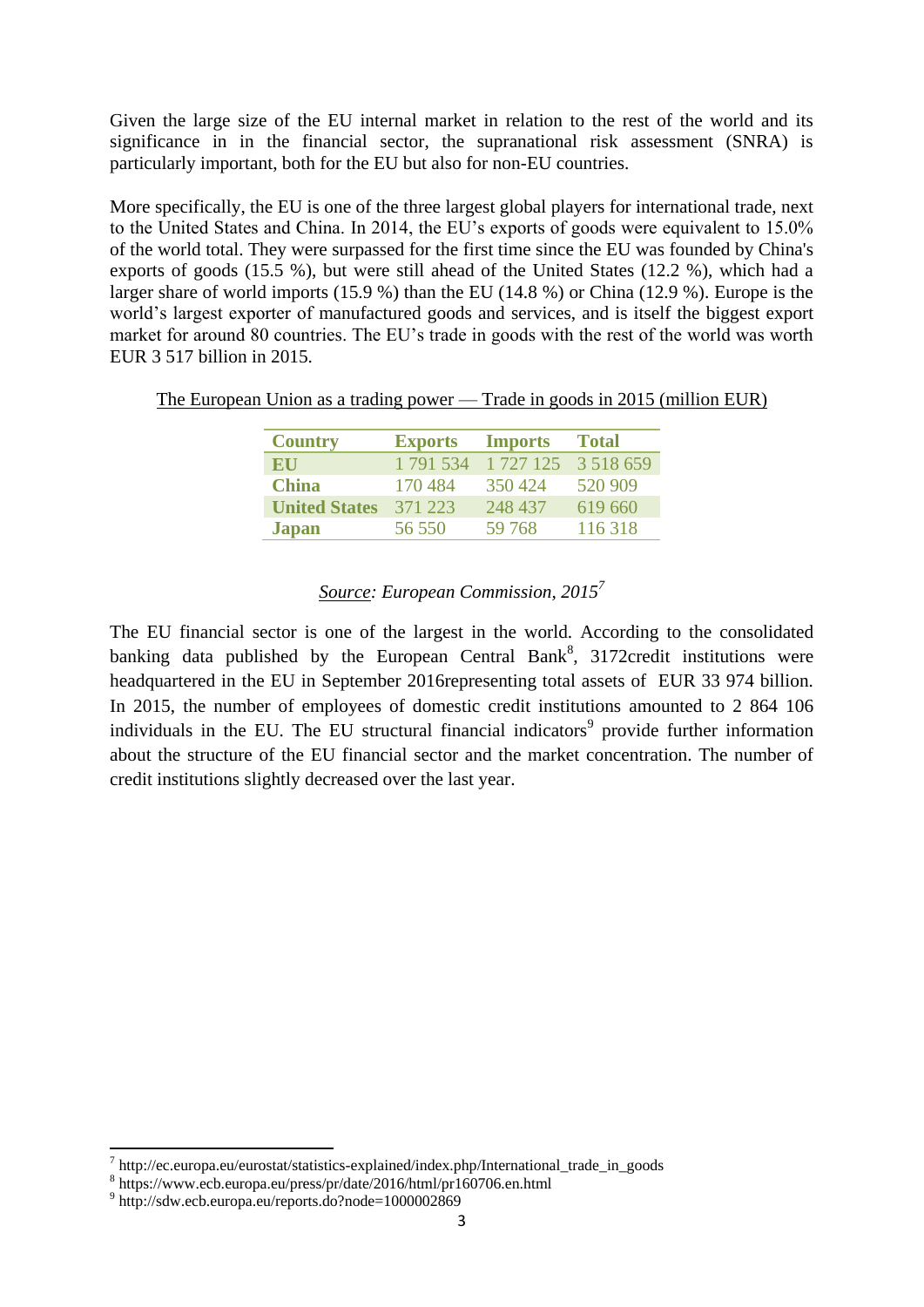Given the large size of the EU internal market in relation to the rest of the world and its significance in in the financial sector, the supranational risk assessment (SNRA) is particularly important, both for the EU but also for non-EU countries.

More specifically, the EU is one of the three largest global players for international trade, next to the United States and China. In 2014, the EU's exports of goods were equivalent to 15.0% of the world total. They were surpassed for the first time since the EU was founded by China's exports of goods (15.5 %), but were still ahead of the United States (12.2 %), which had a larger share of world imports (15.9 %) than the EU (14.8 %) or China (12.9 %). Europe is the world's largest exporter of manufactured goods and services, and is itself the biggest export market for around 80 countries. The EU's trade in goods with the rest of the world was worth EUR 3 517 billion in 2015.

The European Union as a trading power — Trade in goods in 2015 (million EUR)

| <b>Country</b>       | <b>Exports</b> | <b>Imports</b> | <b>Total</b>  |
|----------------------|----------------|----------------|---------------|
| EU                   | 1 791 534      | 1 727 125      | 3 5 1 8 6 5 9 |
| <b>China</b>         | 170484         | 350424         | 520 909       |
| <b>United States</b> | 371 223        | 248 437        | 619 660       |
| <b>Japan</b>         | 56 550         | 59 768         | 116318        |

### *Source: European Commission, 2015<sup>7</sup>*

The EU financial sector is one of the largest in the world. According to the consolidated banking data published by the European Central Bank<sup>8</sup>, 3172credit institutions were headquartered in the EU in September 2016representing total assets of EUR 33 974 billion. In 2015, the number of employees of domestic credit institutions amounted to 2 864 106 individuals in the EU. The EU structural financial indicators<sup>9</sup> provide further information about the structure of the EU financial sector and the market concentration. The number of credit institutions slightly decreased over the last year.

 7 http://ec.europa.eu/eurostat/statistics-explained/index.php/International\_trade\_in\_goods

<sup>8</sup> https://www.ecb.europa.eu/press/pr/date/2016/html/pr160706.en.html

<sup>9</sup> http://sdw.ecb.europa.eu/reports.do?node=1000002869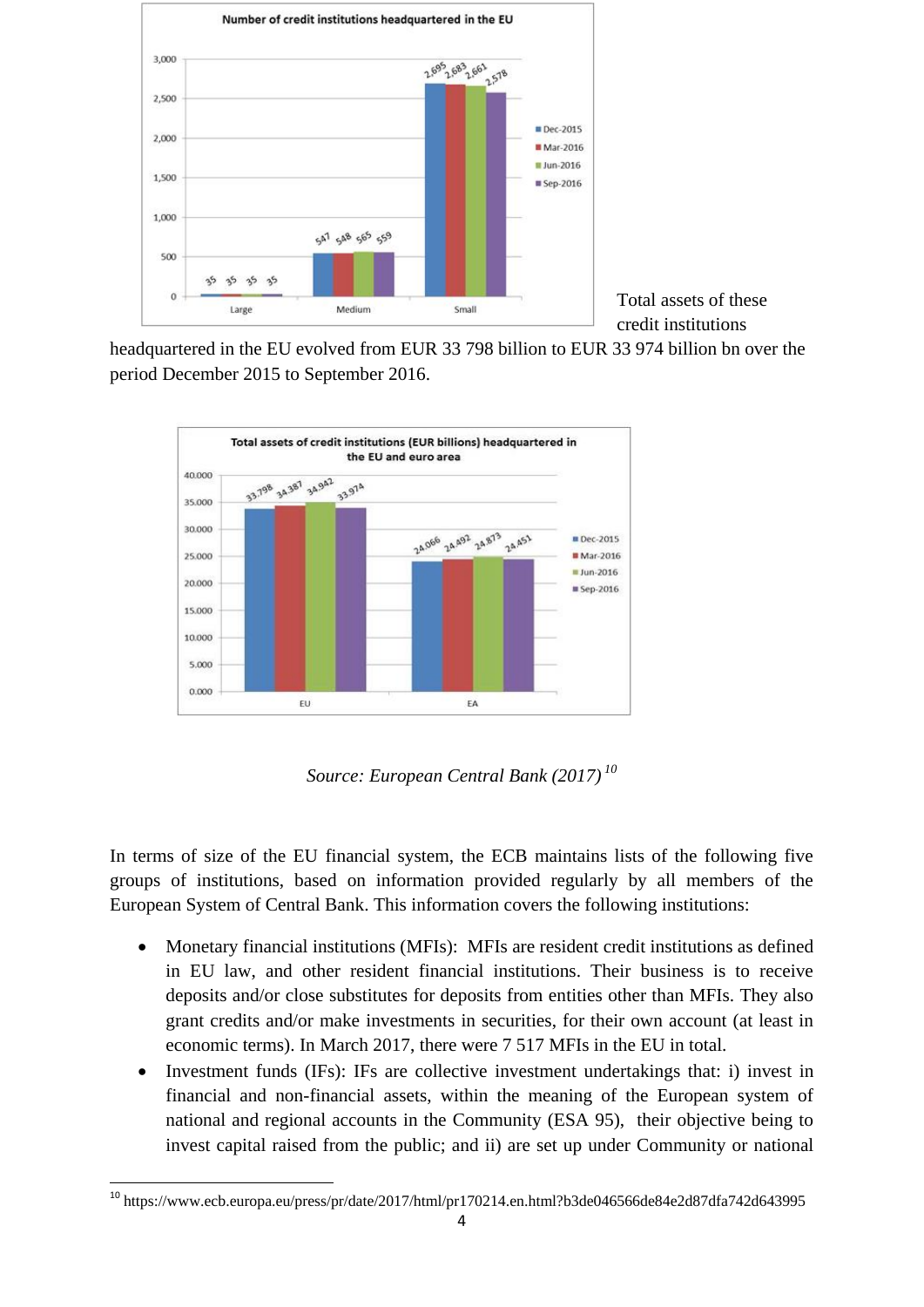

Total assets of these credit institutions

headquartered in the EU evolved from EUR 33 798 billion to EUR 33 974 billion bn over the period December 2015 to September 2016.



*Source: European Central Bank (2017) <sup>10</sup>*

In terms of size of the EU financial system, the ECB maintains lists of the following five groups of institutions, based on information provided regularly by all members of the European System of Central Bank. This information covers the following institutions:

- Monetary financial institutions (MFIs): MFIs are resident credit institutions as defined in EU law, and other resident financial institutions. Their business is to receive deposits and/or close substitutes for deposits from entities other than MFIs. They also grant credits and/or make investments in securities, for their own account (at least in economic terms). In March 2017, there were 7 517 MFIs in the EU in total.
- Investment funds (IFs): IFs are collective investment undertakings that: i) invest in financial and non-financial assets, within the meaning of the European system of national and regional accounts in the Community (ESA 95), their objective being to invest capital raised from the public; and ii) are set up under Community or national

**<sup>.</sup>** <sup>10</sup> https://www.ecb.europa.eu/press/pr/date/2017/html/pr170214.en.html?b3de046566de84e2d87dfa742d643995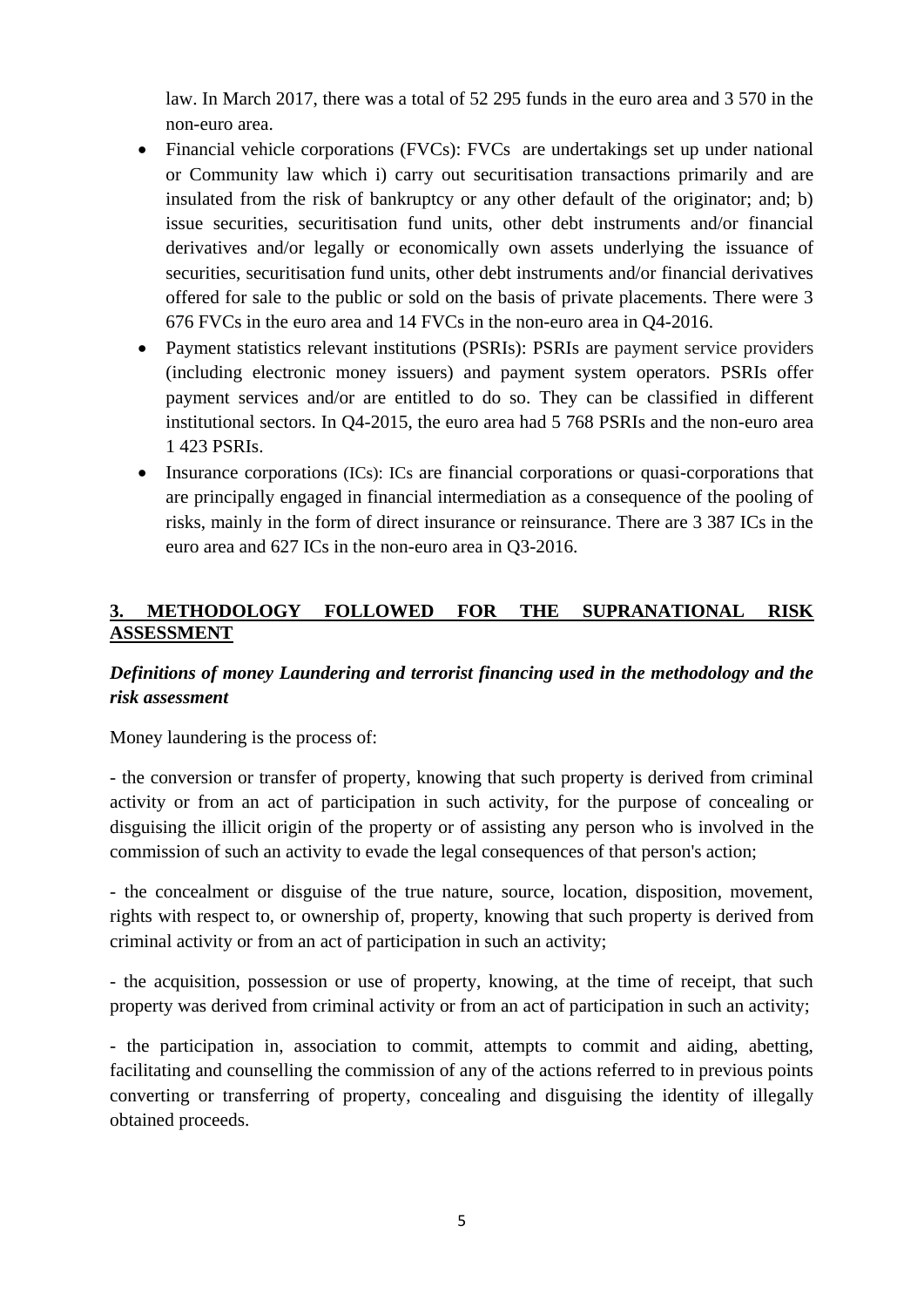law. In March 2017, there was a total of 52 295 funds in the euro area and 3 570 in the non-euro area.

- Financial vehicle corporations (FVCs): FVCs are undertakings set up under national or Community law which i) carry out securitisation transactions primarily and are insulated from the risk of bankruptcy or any other default of the originator; and; b) issue securities, securitisation fund units, other debt instruments and/or financial derivatives and/or legally or economically own assets underlying the issuance of securities, securitisation fund units, other debt instruments and/or financial derivatives offered for sale to the public or sold on the basis of private placements. There were 3 676 FVCs in the euro area and 14 FVCs in the non-euro area in Q4-2016.
- Payment statistics relevant institutions (PSRIs): PSRIs are payment service providers (including electronic money issuers) and payment system operators. PSRIs offer payment services and/or are entitled to do so. They can be classified in different institutional sectors. In Q4-2015, the euro area had 5 768 PSRIs and the non-euro area 1 423 PSRIs.
- Insurance corporations (ICs): ICs are financial corporations or quasi-corporations that are principally engaged in financial intermediation as a consequence of the pooling of risks, mainly in the form of direct insurance or reinsurance. There are 3 387 ICs in the euro area and 627 ICs in the non-euro area in Q3-2016.

## **3. METHODOLOGY FOLLOWED FOR THE SUPRANATIONAL RISK ASSESSMENT**

# *Definitions of money Laundering and terrorist financing used in the methodology and the risk assessment*

Money laundering is the process of:

- the conversion or transfer of property, knowing that such property is derived from criminal activity or from an act of participation in such activity, for the purpose of concealing or disguising the illicit origin of the property or of assisting any person who is involved in the commission of such an activity to evade the legal consequences of that person's action;

- the concealment or disguise of the true nature, source, location, disposition, movement, rights with respect to, or ownership of, property, knowing that such property is derived from criminal activity or from an act of participation in such an activity;

- the acquisition, possession or use of property, knowing, at the time of receipt, that such property was derived from criminal activity or from an act of participation in such an activity;

- the participation in, association to commit, attempts to commit and aiding, abetting, facilitating and counselling the commission of any of the actions referred to in previous points converting or transferring of property, concealing and disguising the identity of illegally obtained proceeds.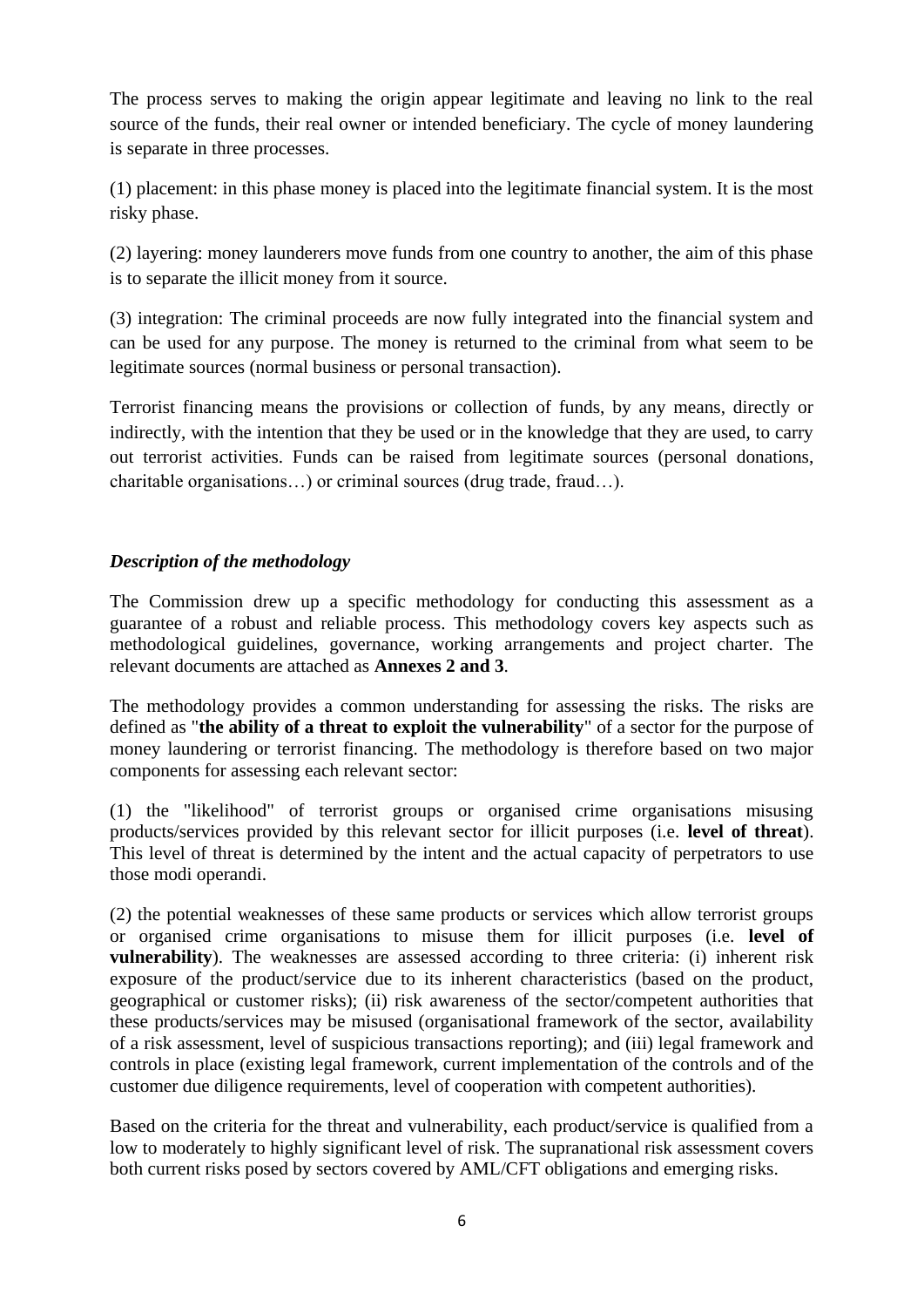The process serves to making the origin appear legitimate and leaving no link to the real source of the funds, their real owner or intended beneficiary. The cycle of money laundering is separate in three processes.

(1) placement: in this phase money is placed into the legitimate financial system. It is the most risky phase.

(2) layering: money launderers move funds from one country to another, the aim of this phase is to separate the illicit money from it source.

(3) integration: The criminal proceeds are now fully integrated into the financial system and can be used for any purpose. The money is returned to the criminal from what seem to be legitimate sources (normal business or personal transaction).

Terrorist financing means the provisions or collection of funds, by any means, directly or indirectly, with the intention that they be used or in the knowledge that they are used, to carry out terrorist activities. Funds can be raised from legitimate sources (personal donations, charitable organisations…) or criminal sources (drug trade, fraud…).

### *Description of the methodology*

The Commission drew up a specific methodology for conducting this assessment as a guarantee of a robust and reliable process. This methodology covers key aspects such as methodological guidelines, governance, working arrangements and project charter. The relevant documents are attached as **Annexes 2 and 3**.

The methodology provides a common understanding for assessing the risks. The risks are defined as "**the ability of a threat to exploit the vulnerability**" of a sector for the purpose of money laundering or terrorist financing. The methodology is therefore based on two major components for assessing each relevant sector:

(1) the "likelihood" of terrorist groups or organised crime organisations misusing products/services provided by this relevant sector for illicit purposes (i.e. **level of threat**). This level of threat is determined by the intent and the actual capacity of perpetrators to use those modi operandi.

(2) the potential weaknesses of these same products or services which allow terrorist groups or organised crime organisations to misuse them for illicit purposes (i.e. **level of vulnerability**). The weaknesses are assessed according to three criteria: (i) inherent risk exposure of the product/service due to its inherent characteristics (based on the product, geographical or customer risks); (ii) risk awareness of the sector/competent authorities that these products/services may be misused (organisational framework of the sector, availability of a risk assessment, level of suspicious transactions reporting); and (iii) legal framework and controls in place (existing legal framework, current implementation of the controls and of the customer due diligence requirements, level of cooperation with competent authorities).

Based on the criteria for the threat and vulnerability, each product/service is qualified from a low to moderately to highly significant level of risk. The supranational risk assessment covers both current risks posed by sectors covered by AML/CFT obligations and emerging risks.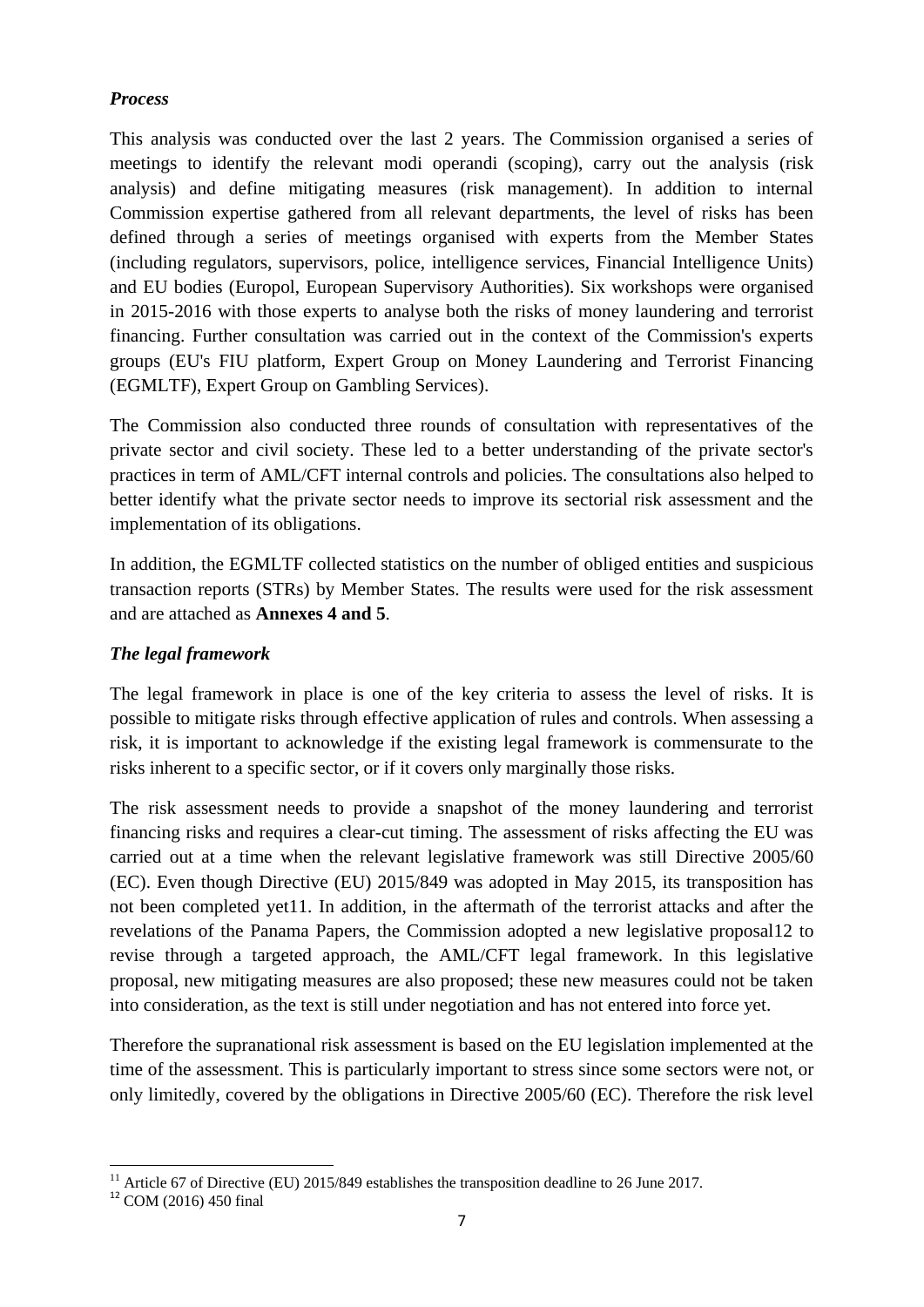#### *Process*

This analysis was conducted over the last 2 years. The Commission organised a series of meetings to identify the relevant modi operandi (scoping), carry out the analysis (risk analysis) and define mitigating measures (risk management). In addition to internal Commission expertise gathered from all relevant departments, the level of risks has been defined through a series of meetings organised with experts from the Member States (including regulators, supervisors, police, intelligence services, Financial Intelligence Units) and EU bodies (Europol, European Supervisory Authorities). Six workshops were organised in 2015-2016 with those experts to analyse both the risks of money laundering and terrorist financing. Further consultation was carried out in the context of the Commission's experts groups (EU's FIU platform, Expert Group on Money Laundering and Terrorist Financing (EGMLTF), Expert Group on Gambling Services).

The Commission also conducted three rounds of consultation with representatives of the private sector and civil society. These led to a better understanding of the private sector's practices in term of AML/CFT internal controls and policies. The consultations also helped to better identify what the private sector needs to improve its sectorial risk assessment and the implementation of its obligations.

In addition, the EGMLTF collected statistics on the number of obliged entities and suspicious transaction reports (STRs) by Member States. The results were used for the risk assessment and are attached as **Annexes 4 and 5**.

## *The legal framework*

The legal framework in place is one of the key criteria to assess the level of risks. It is possible to mitigate risks through effective application of rules and controls. When assessing a risk, it is important to acknowledge if the existing legal framework is commensurate to the risks inherent to a specific sector, or if it covers only marginally those risks.

The risk assessment needs to provide a snapshot of the money laundering and terrorist financing risks and requires a clear-cut timing. The assessment of risks affecting the EU was carried out at a time when the relevant legislative framework was still Directive 2005/60 (EC). Even though Directive (EU) 2015/849 was adopted in May 2015, its transposition has not been completed yet11. In addition, in the aftermath of the terrorist attacks and after the revelations of the Panama Papers, the Commission adopted a new legislative proposal12 to revise through a targeted approach, the AML/CFT legal framework. In this legislative proposal, new mitigating measures are also proposed; these new measures could not be taken into consideration, as the text is still under negotiation and has not entered into force yet.

Therefore the supranational risk assessment is based on the EU legislation implemented at the time of the assessment. This is particularly important to stress since some sectors were not, or only limitedly, covered by the obligations in Directive 2005/60 (EC). Therefore the risk level

**.** 

<sup>&</sup>lt;sup>11</sup> Article 67 of Directive (EU) 2015/849 establishes the transposition deadline to 26 June 2017.

<sup>12</sup> COM (2016) 450 final